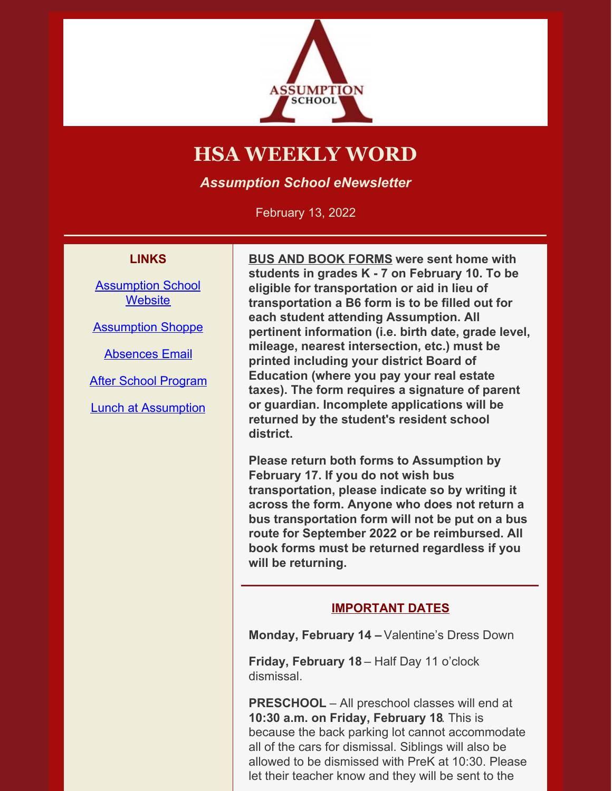

# **HSA WEEKLY WORD**

*Assumption School eNewsletter*

February 13, 2022

#### **LINKS**

[Assumption](https://www.assumptionnj.org/) School **[Website](https://www.assumptionnj.org/)** 

[Assumption](https://assumptionschool.itemorder.com/sale) Shoppe

[Absences](mailto:attendance@assumptionnj.org) Email

After School [Program](https://www.assumptionnj.org/wp-content/uploads/2021/08/After-School-General-Information-website-1.pdf)

Lunch at [Assumption](https://files.constantcontact.com/ba10653a001/6add9be7-c6d9-4c06-b2f3-de0de4d62a3f.pdf?rdr=true)

**BUS AND BOOK FORMS were sent home with students in grades K - 7 on February 10. To be eligible for transportation or aid in lieu of transportation a B6 form is to be filled out for each student attending Assumption. All pertinent information (i.e. birth date, grade level, mileage, nearest intersection, etc.) must be printed including your district Board of Education (where you pay your real estate taxes). The form requires a signature of parent or guardian. Incomplete applications will be returned by the student's resident school district.**

**Please return both forms to Assumption by February 17. If you do not wish bus transportation, please indicate so by writing it across the form. Anyone who does not return a bus transportation form will not be put on a bus route for September 2022 or be reimbursed. All book forms must be returned regardless if you will be returning.**

#### **IMPORTANT DATES**

**Monday, February 14 –** Valentine's Dress Down

**Friday, February 18** – Half Day 11 o'clock dismissal.

**PRESCHOOL** – All preschool classes will end at **10:30 a.m. on Friday, February 18**. This is because the back parking lot cannot accommodate all of the cars for dismissal. Siblings will also be allowed to be dismissed with PreK at 10:30. Please let their teacher know and they will be sent to the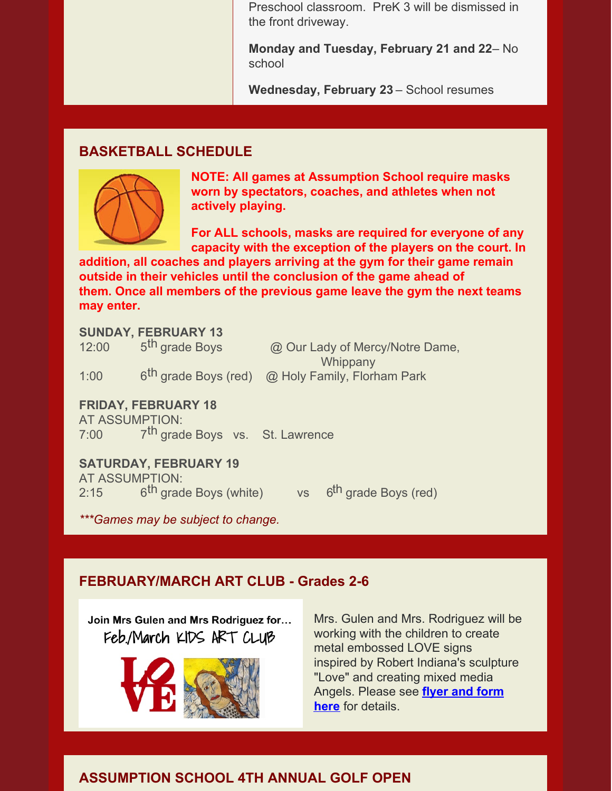Preschool classroom. PreK 3 will be dismissed in the front driveway.

**Monday and Tuesday, February 21 and 22**– No school

**Wednesday, February 23** – School resumes

#### **BASKETBALL SCHEDULE**



**NOTE: All games at Assumption School require masks worn by spectators, coaches, and athletes when not actively playing.**

**For ALL schools, masks are required for everyone of any capacity with the exception of the players on the court. In**

**addition, all coaches and players arriving at the gym for their game remain outside in their vehicles until the conclusion of the game ahead of them. Once all members of the previous game leave the gym the next teams may enter.**

**SUNDAY, FEBRUARY 13**

| 12:00 | 5 <sup>th</sup> grade Boys       | @ Our Lady of Mercy/Notre Dame, |
|-------|----------------------------------|---------------------------------|
|       |                                  | Whippany                        |
| 1:00  | 6 <sup>th</sup> grade Boys (red) | @ Holy Family, Florham Park     |

**FRIDAY, FEBRUARY 18** AT ASSUMPTION:  $7:00$ 7<sup>th</sup> grade Boys vs. St. Lawrence

#### **SATURDAY, FEBRUARY 19**

AT ASSUMPTION:  $2:15$ 

<sup>th</sup> grade Boys (white) vs 6<sup>th</sup> grade Boys (red)

*\*\*\*Games may be subject to change.*

### **FEBRUARY/MARCH ART CLUB - Grades 2-6**

Join Mrs Gulen and Mrs Rodriguez for... Feb./March KIDS ART CLUB



Mrs. Gulen and Mrs. Rodriguez will be working with the children to create metal embossed LOVE signs inspired by Robert Indiana's sculpture "Love" and creating mixed media Angels. Please see **[flyer](https://www.assumptionnj.org/wp-content/uploads/2022/02/February-and-March-Art-Club-2022.pdf) and form [here](https://www.assumptionnj.org/wp-content/uploads/2022/02/February-and-March-Art-Club-2022.pdf)** for details.

# **ASSUMPTION SCHOOL 4TH ANNUAL GOLF OPEN**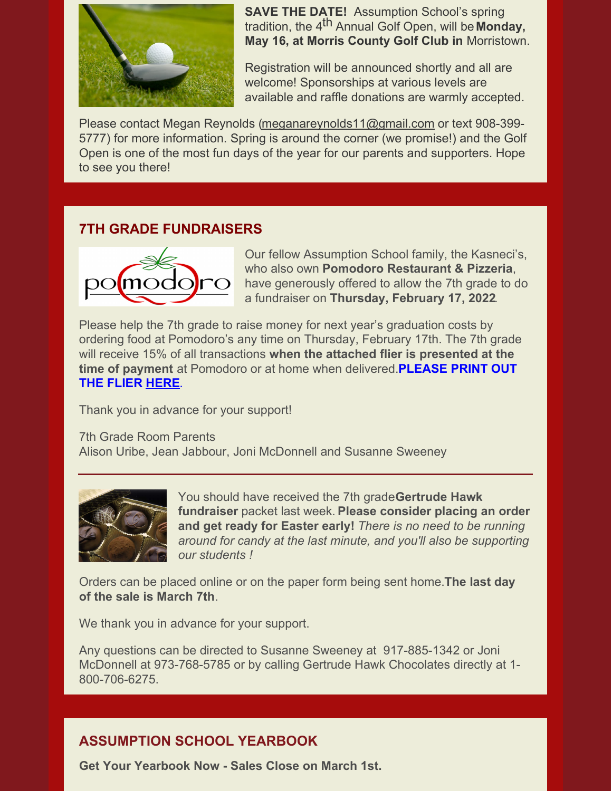

**SAVE THE DATE!** Assumption School's spring tradition, the 4 th Annual Golf Open, will be **Monday, May 16, at Morris County Golf Club in** Morristown.

Registration will be announced shortly and all are welcome! Sponsorships at various levels are available and raffle donations are warmly accepted.

Please contact Megan Reynolds [\(meganareynolds11@gmail.com](mailto:meganareynolds11@gmail.com) or text 908-399-5777) for more information. Spring is around the corner (we promise!) and the Golf Open is one of the most fun days of the year for our parents and supporters. Hope to see you there!

## **7TH GRADE FUNDRAISERS**



Our fellow Assumption School family, the Kasneci's, who also own **Pomodoro Restaurant & Pizzeria**, have generously offered to allow the 7th grade to do a fundraiser on **Thursday, February 17, 2022**.

Please help the 7th grade to raise money for next year's graduation costs by ordering food at Pomodoro's any time on Thursday, February 17th. The 7th grade will receive 15% of all transactions **when the attached flier is presented at the time of payment** at Pomodoro or at home when delivered.**PLEASE PRINT OUT THE FLIER [HERE](https://www.assumptionnj.org/wp-content/uploads/2022/02/Pomodoro-Pizza-7th-grade-flier-.pdf)**.

Thank you in advance for your support!

7th Grade Room Parents

Alison Uribe, Jean Jabbour, Joni McDonnell and Susanne Sweeney



You should have received the 7th grade**Gertrude Hawk fundraiser** packet last week. **Please consider placing an order and get ready for Easter early!** *There is no need to be running around for candy at the last minute, and you'll also be supporting our students !*

Orders can be placed online or on the paper form being sent home.**The last day of the sale is March 7th**.

We thank you in advance for your support.

Any questions can be directed to Susanne Sweeney at 917-885-1342 or Joni McDonnell at 973-768-5785 or by calling Gertrude Hawk Chocolates directly at 1- 800-706-6275.

# **ASSUMPTION SCHOOL YEARBOOK**

**Get Your Yearbook Now - Sales Close on March 1st.**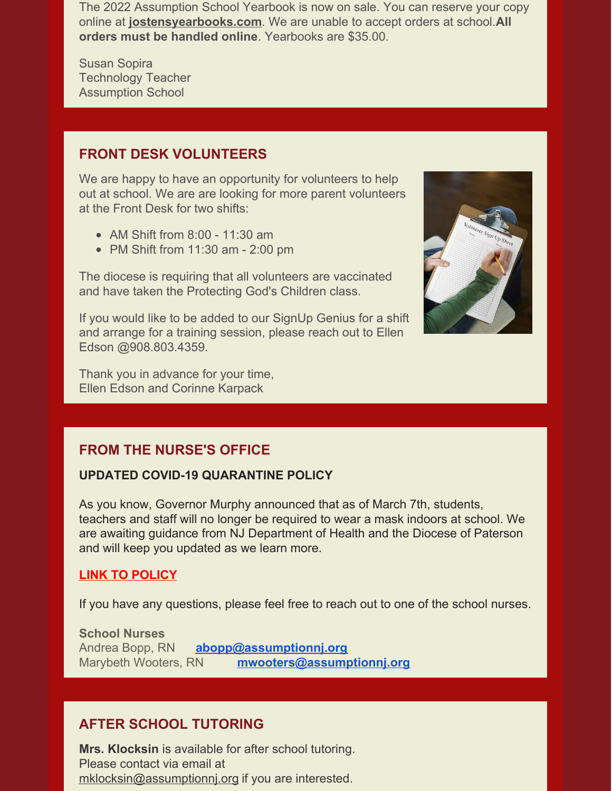The 2022 Assumption School Yearbook is now on sale. You can reserve your copy online at **[jostensyearbooks.com](https://r20.rs6.net/tn.jsp?f=001IfFmcPyJiesR_1nItTz5jK59dzFdbVVKZug7S341o97E_g7nD1qMVhrZ1gh5ddnAWE7eir960iVWRTYcDZJ3wdqXioMn0TCWuBa8pvTpoiaK-PivWVNh4M4cFlx4cSXuzW95ux9dFQgiW-JH-9ZHRHdBaL80N4WVOMYrO7VLlmcuSe41xka1sQ==&c=k9ILsU8uQ4jxC6MQbpJ3oR71H52zm1w4yaJIoXl54VL-R4VLaB7Njw==&ch=u9_ErjpMGDvJEw-WStMTy__jV7lnuYEUM5WbebEsVU8uAjMxua_gWQ==)**. We are unable to accept orders at school.**All orders must be handled online**. Yearbooks are \$35.00.

Susan Sopira Technology Teacher Assumption School

#### **FRONT DESK VOLUNTEERS**

We are happy to have an opportunity for volunteers to help out at school. We are are looking for more parent volunteers at the Front Desk for two shifts:

- AM Shift from  $8:00 11:30$  am
- PM Shift from 11:30 am 2:00 pm

The diocese is requiring that all volunteers are vaccinated and have taken the Protecting God's Children class.

If you would like to be added to our SignUp Genius for a shift and arrange for a training session, please reach out to Ellen Edson @908.803.4359.

Thank you in advance for your time, Ellen Edson and Corinne Karpack

# **FROM THE NURSE'S OFFICE**

#### **UPDATED COVID-19 QUARANTINE POLICY**

As you know, Governor Murphy announced that as of March 7th, students, teachers and staff will no longer be required to wear a mask indoors at school. We are awaiting guidance from NJ Department of Health and the Diocese of Paterson and will keep you updated as we learn more.

#### **LINK TO [POLICY](https://www.assumptionnj.org/wp-content/uploads/2022/02/Revised-Covid-19-Quarantine-Policy_2-10-22.pdf)**

If you have any questions, please feel free to reach out to one of the school nurses.

**School Nurses** Andrea Bopp, RN **[abopp@assumptionnj.org](mailto:abopp@assumptionnj.org)** Marybeth Wooters, RN **[mwooters@assumptionnj.org](mailto:mwooters@assumptionnj.org)**

# **AFTER SCHOOL TUTORING**

**Mrs. Klocksin** is available for after school tutoring. Please contact via email at [mklocksin@assumptionnj.org](mailto:mklocksin@assumptionnj.org) if you are interested.

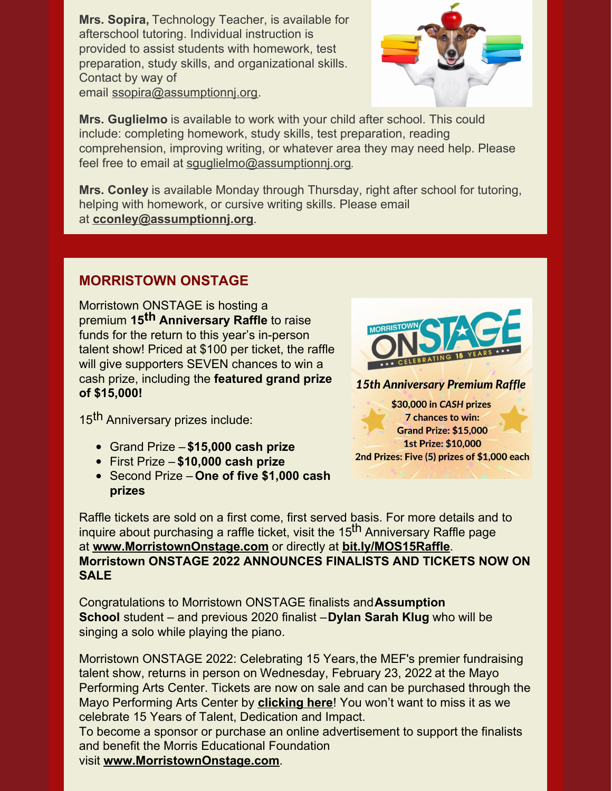**Mrs. Sopira,** Technology Teacher, is available for afterschool tutoring. Individual instruction is provided to assist students with homework, test preparation, study skills, and organizational skills. Contact by way of email [ssopira@assumptionnj.org](mailto:ssopira@assumptionnj.org).



**Mrs. Guglielmo** is available to work with your child after school. This could include: completing homework, study skills, test preparation, reading comprehension, improving writing, or whatever area they may need help. Please feel free to email at squglielmo@assumptionnj.org.

**Mrs. Conley** is available Monday through Thursday, right after school for tutoring, helping with homework, or cursive writing skills. Please email at **[cconley@assumptionnj.org](mailto:cconley@assumptionnj.org)**.

## **MORRISTOWN ONSTAGE**

Morristown ONSTAGE is hosting a premium **15 th Anniversary Raffle** to raise funds for the return to this year's in-person talent show! Priced at \$100 per ticket, the raffle will give supporters SEVEN chances to win a cash prize, including the **featured grand prize of \$15,000!**

15<sup>th</sup> Anniversary prizes include:

- Grand Prize **\$15,000 cash prize**
- First Prize **\$10,000 cash prize**
- Second Prize **One of five \$1,000 cash prizes**



#### **15th Anniversary Premium Raffle**

\$30,000 in CASH prizes 7 chances to win: **Grand Prize: \$15,000** 1st Prize: \$10,000 2nd Prizes: Five (5) prizes of \$1,000 each

Raffle tickets are sold on a first come, first served basis. For more details and to inquire about purchasing a raffle ticket, visit the 15<sup>th</sup> Anniversary Raffle page at **[www.MorristownOnstage.com](http://www.morristownonstage.com/)** or directly at **[bit.ly/MOS15Raffle](https://bit.ly/MOS15Raffle)**. **Morristown ONSTAGE 2022 ANNOUNCES FINALISTS AND TICKETS NOW ON SALE**

Congratulations to Morristown ONSTAGE finalists and**Assumption School** student – and previous 2020 finalist –**Dylan Sarah Klug** who will be singing a solo while playing the piano.

Morristown ONSTAGE 2022: Celebrating 15 Years,the MEF's premier fundraising talent show, returns in person on Wednesday, February 23, 2022 at the Mayo Performing Arts Center. Tickets are now on sale and can be purchased through the Mayo Performing Arts Center by **[clicking](https://www.mayoarts.org/shows/morristown-onstage-2022) here**! You won't want to miss it as we celebrate 15 Years of Talent, Dedication and Impact.

To become a sponsor or purchase an online advertisement to support the finalists and benefit the Morris Educational Foundation

visit **[www.MorristownOnstage.com](http://www.morristownonstage.com/)**.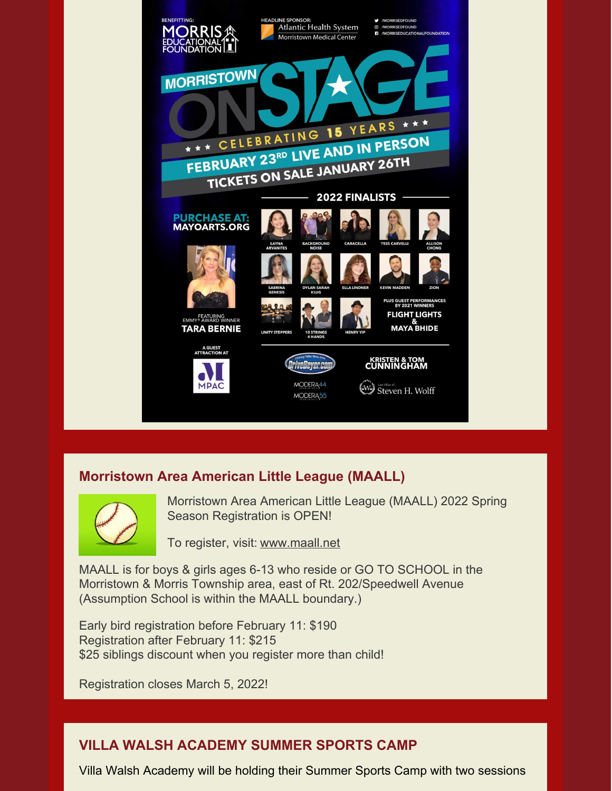

# **Morristown Area American Little League (MAALL)**



Morristown Area American Little League (MAALL) 2022 Spring Season Registration is OPEN!

To register, visit: [www.maall.net](http://www.maall.net)

MAALL is for boys & girls ages 6-13 who reside or GO TO SCHOOL in the Morristown & Morris Township area, east of Rt. 202/Speedwell Avenue (Assumption School is within the MAALL boundary.)

Early bird registration before February 11: \$190 Registration after February 11: \$215 \$25 siblings discount when you register more than child!

Registration closes March 5, 2022!

# **VILLA WALSH ACADEMY SUMMER SPORTS CAMP**

Villa Walsh Academy will be holding their Summer Sports Camp with two sessions